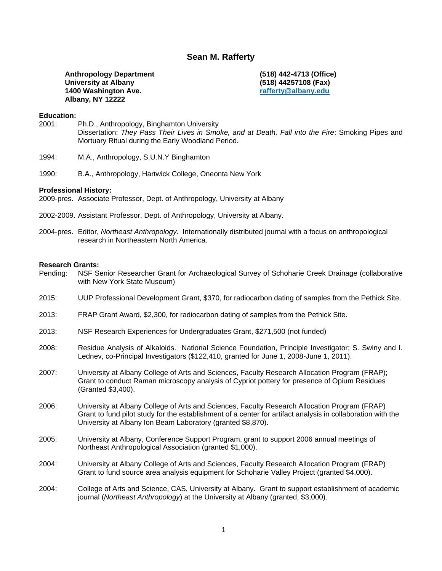# **Sean M. Rafferty**

**Anthropology Department University at Albany 1400 Washington Ave. Albany, NY 12222**

**(518) 442-4713 (Office) (518) 44257108 (Fax) [rafferty@albany.edu](mailto:rafferty@albany.edu)**

#### **Education:**

- 2001: Ph.D., Anthropology, Binghamton University Dissertation: *They Pass Their Lives in Smoke, and at Death, Fall into the Fire*: Smoking Pipes and Mortuary Ritual during the Early Woodland Period.
- 1994: M.A., Anthropology, S.U.N.Y Binghamton
- 1990: B.A., Anthropology, Hartwick College, Oneonta New York

### **Professional History:**

2009-pres. Associate Professor, Dept. of Anthropology, University at Albany

- 2002-2009. Assistant Professor, Dept. of Anthropology, University at Albany.
- 2004-pres. Editor, *Northeast Anthropology*. Internationally distributed journal with a focus on anthropological research in Northeastern North America.

#### **Research Grants:**

- Pending: NSF Senior Researcher Grant for Archaeological Survey of Schoharie Creek Drainage (collaborative with New York State Museum)
- 2015: UUP Professional Development Grant, \$370, for radiocarbon dating of samples from the Pethick Site.
- 2013: FRAP Grant Award, \$2,300, for radiocarbon dating of samples from the Pethick Site.
- 2013: NSF Research Experiences for Undergraduates Grant, \$271,500 (not funded)
- 2008: Residue Analysis of Alkaloids. National Science Foundation, Principle Investigator; S. Swiny and I. Lednev, co-Principal Investigators (\$122,410, granted for June 1, 2008-June 1, 2011).
- 2007: University at Albany College of Arts and Sciences, Faculty Research Allocation Program (FRAP); Grant to conduct Raman microscopy analysis of Cypriot pottery for presence of Opium Residues (Granted \$3,400).
- 2006: University at Albany College of Arts and Sciences, Faculty Research Allocation Program (FRAP) Grant to fund pilot study for the establishment of a center for artifact analysis in collaboration with the University at Albany Ion Beam Laboratory (granted \$8,870).
- 2005: University at Albany, Conference Support Program, grant to support 2006 annual meetings of Northeast Anthropological Association (granted \$1,000).
- 2004: University at Albany College of Arts and Sciences, Faculty Research Allocation Program (FRAP) Grant to fund source area analysis equipment for Schoharie Valley Project (granted \$4,000).
- 2004: College of Arts and Science, CAS, University at Albany. Grant to support establishment of academic journal (*Northeast Anthropology*) at the University at Albany (granted, \$3,000).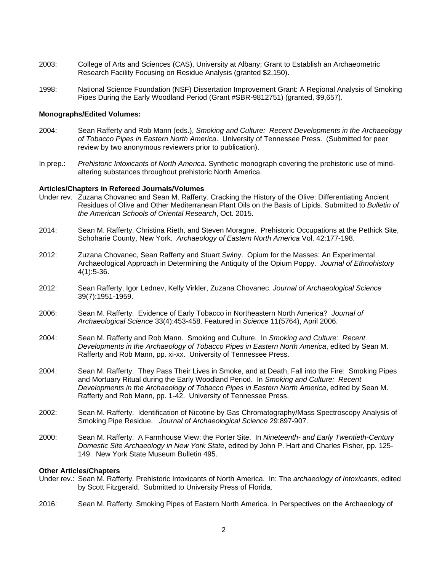- 2003: College of Arts and Sciences (CAS), University at Albany; Grant to Establish an Archaeometric Research Facility Focusing on Residue Analysis (granted \$2,150).
- 1998: National Science Foundation (NSF) Dissertation Improvement Grant: A Regional Analysis of Smoking Pipes During the Early Woodland Period (Grant #SBR-9812751) (granted, \$9,657).

### **Monographs/Edited Volumes:**

- 2004: Sean Rafferty and Rob Mann (eds.), *Smoking and Culture: Recent Developments in the Archaeology of Tobacco Pipes in Eastern North America*. University of Tennessee Press. (Submitted for peer review by two anonymous reviewers prior to publication).
- In prep.: *Prehistoric Intoxicants of North America*. Synthetic monograph covering the prehistoric use of mindaltering substances throughout prehistoric North America.

### **Articles/Chapters in Refereed Journals/Volumes**

- Under rev. Zuzana Chovanec and Sean M. Rafferty. Cracking the History of the Olive: Differentiating Ancient Residues of Olive and Other Mediterranean Plant Oils on the Basis of Lipids. Submitted to *Bulletin of the American Schools of Oriental Research*, Oct. 2015.
- 2014: Sean M. Rafferty, Christina Rieth, and Steven Moragne. Prehistoric Occupations at the Pethick Site, Schoharie County, New York. *Archaeology of Eastern North America* Vol. 42:177-198.
- 2012: Zuzana Chovanec, Sean Rafferty and Stuart Swiny. Opium for the Masses: An Experimental Archaeological Approach in Determining the Antiquity of the Opium Poppy. *Journal of Ethnohistory* 4(1):5-36.
- 2012: Sean Rafferty, Igor Lednev, Kelly Virkler, Zuzana Chovanec. *Journal of Archaeological Science* 39(7):1951-1959.
- 2006: Sean M. Rafferty. Evidence of Early Tobacco in Northeastern North America? *Journal of Archaeological Science* 33(4):453-458. Featured in *Science* 11(5764), April 2006.
- 2004: Sean M. Rafferty and Rob Mann. Smoking and Culture. In *Smoking and Culture: Recent Developments in the Archaeology of Tobacco Pipes in Eastern North America*, edited by Sean M. Rafferty and Rob Mann, pp. xi-xx. University of Tennessee Press.
- 2004: Sean M. Rafferty. They Pass Their Lives in Smoke, and at Death, Fall into the Fire: Smoking Pipes and Mortuary Ritual during the Early Woodland Period. In *Smoking and Culture: Recent Developments in the Archaeology of Tobacco Pipes in Eastern North America*, edited by Sean M. Rafferty and Rob Mann, pp. 1-42. University of Tennessee Press.
- 2002: Sean M. Rafferty. Identification of Nicotine by Gas Chromatography/Mass Spectroscopy Analysis of Smoking Pipe Residue. *Journal of Archaeological Science* 29:897-907.
- 2000: Sean M. Rafferty. A Farmhouse View: the Porter Site. In *Nineteenth- and Early Twentieth-Century Domestic Site Archaeology in New York State*, edited by John P. Hart and Charles Fisher, pp. 125- 149. New York State Museum Bulletin 495.

### **Other Articles/Chapters**

- Under rev.: Sean M. Rafferty. Prehistoric Intoxicants of North America. In: The *archaeology of Intoxicants*, edited by Scott Fitzgerald. Submitted to University Press of Florida.
- 2016: Sean M. Rafferty. Smoking Pipes of Eastern North America. In Perspectives on the Archaeology of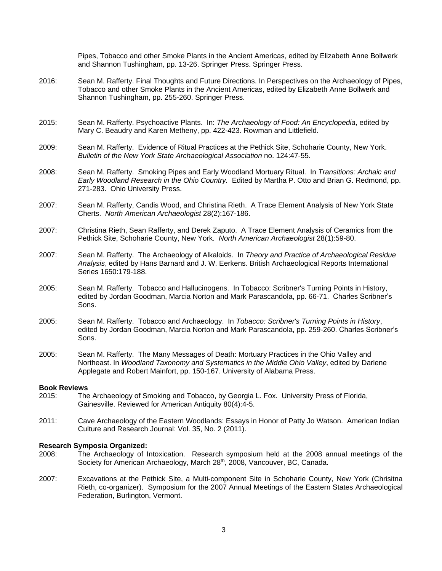Pipes, Tobacco and other Smoke Plants in the Ancient Americas, edited by Elizabeth Anne Bollwerk and Shannon Tushingham, pp. 13-26. Springer Press. Springer Press.

- 2016: Sean M. Rafferty. Final Thoughts and Future Directions. In Perspectives on the Archaeology of Pipes, Tobacco and other Smoke Plants in the Ancient Americas, edited by Elizabeth Anne Bollwerk and Shannon Tushingham, pp. 255-260. Springer Press.
- 2015: Sean M. Rafferty. Psychoactive Plants. In: *The Archaeology of Food: An Encyclopedia*, edited by Mary C. Beaudry and Karen Metheny, pp. 422-423. Rowman and Littlefield.
- 2009: Sean M. Rafferty. Evidence of Ritual Practices at the Pethick Site, Schoharie County, New York. *Bulletin of the New York State Archaeological Association* no. 124:47-55.
- 2008: Sean M. Rafferty. Smoking Pipes and Early Woodland Mortuary Ritual. In *Transitions: Archaic and Early Woodland Research in the Ohio Country.* Edited by Martha P. Otto and Brian G. Redmond, pp. 271-283. Ohio University Press.
- 2007: Sean M. Rafferty, Candis Wood, and Christina Rieth. A Trace Element Analysis of New York State Cherts. *North American Archaeologist* 28(2):167-186.
- 2007: Christina Rieth, Sean Rafferty, and Derek Zaputo. A Trace Element Analysis of Ceramics from the Pethick Site, Schoharie County, New York. *North American Archaeologist* 28(1):59-80.
- 2007: Sean M. Rafferty. The Archaeology of Alkaloids. In *Theory and Practice of Archaeological Residue Analysis*, edited by Hans Barnard and J. W. Eerkens. British Archaeological Reports International Series 1650:179-188.
- 2005: Sean M. Rafferty. Tobacco and Hallucinogens. In Tobacco: Scribner's Turning Points in History, edited by Jordan Goodman, Marcia Norton and Mark Parascandola, pp. 66-71. Charles Scribner's Sons.
- 2005: Sean M. Rafferty. Tobacco and Archaeology. In *Tobacco: Scribner's Turning Points in History*, edited by Jordan Goodman, Marcia Norton and Mark Parascandola, pp. 259-260. Charles Scribner's Sons.
- 2005: Sean M. Rafferty. The Many Messages of Death: Mortuary Practices in the Ohio Valley and Northeast. In *Woodland Taxonomy and Systematics in the Middle Ohio Valley*, edited by Darlene Applegate and Robert Mainfort, pp. 150-167. University of Alabama Press.

### **Book Reviews**

- 2015: The Archaeology of Smoking and Tobacco, by Georgia L. Fox. University Press of Florida, Gainesville. Reviewed for American Antiquity 80(4):4-5.
- 2011: Cave Archaeology of the Eastern Woodlands: Essays in Honor of Patty Jo Watson. American Indian Culture and Research Journal: Vol. 35, No. 2 (2011).

# **Research Symposia Organized:**

- 2008: The Archaeology of Intoxication. Research symposium held at the 2008 annual meetings of the Society for American Archaeology, March 28<sup>th</sup>, 2008, Vancouver, BC, Canada.
- 2007: Excavations at the Pethick Site, a Multi-component Site in Schoharie County, New York (Chrisitna Rieth, co-organizer). Symposium for the 2007 Annual Meetings of the Eastern States Archaeological Federation, Burlington, Vermont.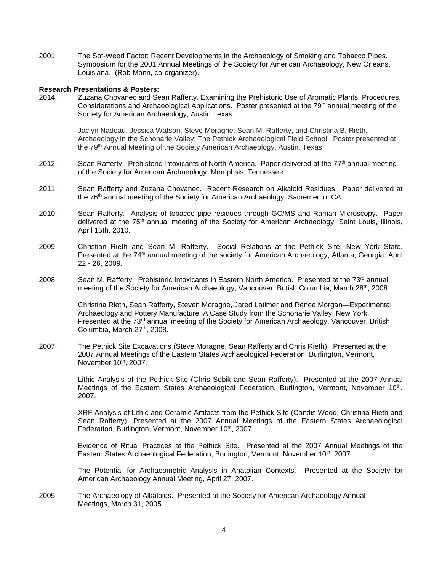2001: The Sot-Weed Factor: Recent Developments in the Archaeology of Smoking and Tobacco Pipes. Symposium for the 2001 Annual Meetings of the Society for American Archaeology, New Orleans, Louisiana. (Rob Mann, co-organizer).

### **Research Presentations & Posters:**

2014: Zuzana Chovanec and Sean Rafferty. Examining the Prehistoric Use of Aromatic Plants: Procedures, Considerations and Archaeological Applications. Poster presented at the 79<sup>th</sup> annual meeting of the Society for American Archaeology, Austin Texas.

> Jaclyn Nadeau, Jessica Watson, Steve Moragne, Sean M. Rafferty, and Christina B. Rieth. Archaeology in the Schoharie Valley: The Pethick Archaeological Field School. Poster presented at the 79<sup>th</sup> Annual Meeting of the Society American Archaeology, Austin, Texas.

- 2012: Sean Rafferty. Prehistoric Intoxicants of North America. Paper delivered at the 77<sup>th</sup> annual meeting of the Society for American Archaeology, Memphsis, Tennessee.
- 2011: Sean Rafferty and Zuzana Chovanec. Recent Research on Alkaloid Residues. Paper delivered at the 76<sup>th</sup> annual meeting of the Society for American Archaeology, Sacremento, CA.
- 2010: Sean Rafferty. Analysis of tobacco pipe residues through GC/MS and Raman Microscopy. Paper delivered at the 75<sup>th</sup> annual meeting of the Society for American Archaeology, Saint Louis, Illinois, April 15th, 2010.
- 2009: Christian Rieth and Sean M. Rafferty. Social Relations at the Pethick Site, New York State. Presented at the 74<sup>th</sup> annual meeting of the society for American Archaeology, Atlanta, Georgia, April 22 - 26, 2009.
- 2008: Sean M. Rafferty. Prehistoric Intoxicants in Eastern North America. Presented at the 73<sup>rd</sup> annual meeting of the Society for American Archaeology, Vancouver, British Columbia, March 28<sup>th</sup>, 2008.

Christina Rieth, Sean Rafferty, Steven Moragne, Jared Latimer and Renee Morgan—Experimental Archaeology and Pottery Manufacture: A Case Study from the Schoharie Valley, New York. Presented at the 73<sup>rd</sup> annual meeting of the Society for American Archaeology, Vancouver, British Columbia, March 27<sup>th</sup>, 2008.

2007: The Pethick Site Excavations (Steve Moragne, Sean Rafferty and Chris Rieth). Presented at the 2007 Annual Meetings of the Eastern States Archaeological Federation, Burlington, Vermont, November  $10<sup>th</sup>$ , 2007.

> Lithic Analysis of the Pethick Site (Chris Sobik and Sean Rafferty). Presented at the 2007 Annual Meetings of the Eastern States Archaeological Federation, Burlington, Vermont, November 10<sup>th</sup>, 2007.

> XRF Analysis of Lithic and Ceramic Artifacts from the Pethick Site (Candis Wood, Christina Rieth and Sean Rafferty). Presented at the 2007 Annual Meetings of the Eastern States Archaeological Federation, Burlington, Vermont, November 10<sup>th</sup>, 2007.

> Evidence of Ritual Practices at the Pethick Site. Presented at the 2007 Annual Meetings of the Eastern States Archaeological Federation, Burlington, Vermont, November 10<sup>th</sup>, 2007.

> The Potential for Archaeometric Analysis in Anatolian Contexts. Presented at the Society for American Archaeology Annual Meeting, April 27, 2007.

2005: The Archaeology of Alkaloids. Presented at the Society for American Archaeology Annual Meetings, March 31, 2005.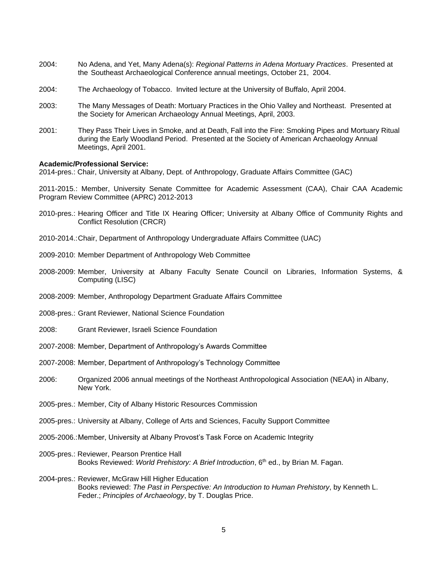- 2004: No Adena, and Yet, Many Adena(s): *Regional Patterns in Adena Mortuary Practices*. Presented at the Southeast Archaeological Conference annual meetings, October 21, 2004.
- 2004: The Archaeology of Tobacco. Invited lecture at the University of Buffalo, April 2004.
- 2003: The Many Messages of Death: Mortuary Practices in the Ohio Valley and Northeast. Presented at the Society for American Archaeology Annual Meetings, April, 2003.
- 2001: They Pass Their Lives in Smoke, and at Death, Fall into the Fire: Smoking Pipes and Mortuary Ritual during the Early Woodland Period. Presented at the Society of American Archaeology Annual Meetings, April 2001.

### **Academic/Professional Service:**

2014-pres.: Chair, University at Albany, Dept. of Anthropology, Graduate Affairs Committee (GAC)

2011-2015.: Member, University Senate Committee for Academic Assessment (CAA), Chair CAA Academic Program Review Committee (APRC) 2012-2013

- 2010-pres.: Hearing Officer and Title IX Hearing Officer; University at Albany Office of Community Rights and Conflict Resolution (CRCR)
- 2010-2014.:Chair, Department of Anthropology Undergraduate Affairs Committee (UAC)
- 2009-2010: Member Department of Anthropology Web Committee
- 2008-2009: Member, University at Albany Faculty Senate Council on Libraries, Information Systems, & Computing (LISC)
- 2008-2009: Member, Anthropology Department Graduate Affairs Committee
- 2008-pres.: Grant Reviewer, National Science Foundation
- 2008: Grant Reviewer, Israeli Science Foundation
- 2007-2008: Member, Department of Anthropology's Awards Committee
- 2007-2008: Member, Department of Anthropology's Technology Committee
- 2006: Organized 2006 annual meetings of the Northeast Anthropological Association (NEAA) in Albany, New York.
- 2005-pres.: Member, City of Albany Historic Resources Commission
- 2005-pres.: University at Albany, College of Arts and Sciences, Faculty Support Committee
- 2005-2006.:Member, University at Albany Provost's Task Force on Academic Integrity
- 2005-pres.: Reviewer, Pearson Prentice Hall Books Reviewed: *World Prehistory: A Brief Introduction*, 6th ed., by Brian M. Fagan.
- 2004-pres.: Reviewer, McGraw Hill Higher Education Books reviewed: *The Past in Perspective: An Introduction to Human Prehistory*, by Kenneth L. Feder.; *Principles of Archaeology*, by T. Douglas Price.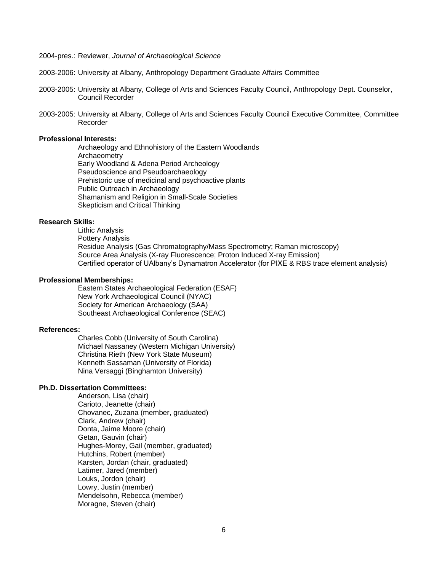2004-pres.: Reviewer, *Journal of Archaeological Science*

- 2003-2006: University at Albany, Anthropology Department Graduate Affairs Committee
- 2003-2005: University at Albany, College of Arts and Sciences Faculty Council, Anthropology Dept. Counselor, Council Recorder
- 2003-2005: University at Albany, College of Arts and Sciences Faculty Council Executive Committee, Committee Recorder

### **Professional Interests:**

Archaeology and Ethnohistory of the Eastern Woodlands **Archaeometry** Early Woodland & Adena Period Archeology Pseudoscience and Pseudoarchaeology Prehistoric use of medicinal and psychoactive plants Public Outreach in Archaeology Shamanism and Religion in Small-Scale Societies Skepticism and Critical Thinking

# **Research Skills:**

Lithic Analysis Pottery Analysis Residue Analysis (Gas Chromatography/Mass Spectrometry; Raman microscopy) Source Area Analysis (X-ray Fluorescence; Proton Induced X-ray Emission) Certified operator of UAlbany's Dynamatron Accelerator (for PIXE & RBS trace element analysis)

#### **Professional Memberships:**

Eastern States Archaeological Federation (ESAF) New York Archaeological Council (NYAC) Society for American Archaeology (SAA) Southeast Archaeological Conference (SEAC)

### **References:**

Charles Cobb (University of South Carolina) Michael Nassaney (Western Michigan University) Christina Rieth (New York State Museum) Kenneth Sassaman (University of Florida) Nina Versaggi (Binghamton University)

## **Ph.D. Dissertation Committees:**

Anderson, Lisa (chair) Carioto, Jeanette (chair) Chovanec, Zuzana (member, graduated) Clark, Andrew (chair) Donta, Jaime Moore (chair) Getan, Gauvin (chair) Hughes-Morey, Gail (member, graduated) Hutchins, Robert (member) Karsten, Jordan (chair, graduated) Latimer, Jared (member) Louks, Jordon (chair) Lowry, Justin (member) Mendelsohn, Rebecca (member) Moragne, Steven (chair)